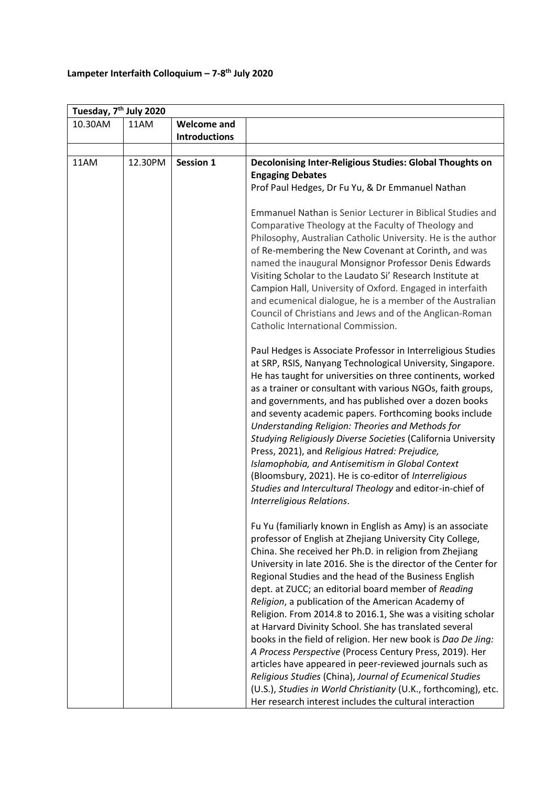## **Lampeter Interfaith Colloquium – 7-8 th July 2020**

| Tuesday, 7 <sup>th</sup> July 2020 |         |                      |                                                                                                                                                                                                                                                                                                                                                                                                                                                                                                                                                                                                                                                                                                                                                                                                                                                                                                                                       |  |  |  |
|------------------------------------|---------|----------------------|---------------------------------------------------------------------------------------------------------------------------------------------------------------------------------------------------------------------------------------------------------------------------------------------------------------------------------------------------------------------------------------------------------------------------------------------------------------------------------------------------------------------------------------------------------------------------------------------------------------------------------------------------------------------------------------------------------------------------------------------------------------------------------------------------------------------------------------------------------------------------------------------------------------------------------------|--|--|--|
| 10.30AM                            | 11AM    | <b>Welcome and</b>   |                                                                                                                                                                                                                                                                                                                                                                                                                                                                                                                                                                                                                                                                                                                                                                                                                                                                                                                                       |  |  |  |
|                                    |         | <b>Introductions</b> |                                                                                                                                                                                                                                                                                                                                                                                                                                                                                                                                                                                                                                                                                                                                                                                                                                                                                                                                       |  |  |  |
|                                    |         |                      |                                                                                                                                                                                                                                                                                                                                                                                                                                                                                                                                                                                                                                                                                                                                                                                                                                                                                                                                       |  |  |  |
| 11AM                               | 12.30PM | <b>Session 1</b>     | Decolonising Inter-Religious Studies: Global Thoughts on<br><b>Engaging Debates</b><br>Prof Paul Hedges, Dr Fu Yu, & Dr Emmanuel Nathan                                                                                                                                                                                                                                                                                                                                                                                                                                                                                                                                                                                                                                                                                                                                                                                               |  |  |  |
|                                    |         |                      | Emmanuel Nathan is Senior Lecturer in Biblical Studies and<br>Comparative Theology at the Faculty of Theology and<br>Philosophy, Australian Catholic University. He is the author<br>of Re-membering the New Covenant at Corinth, and was<br>named the inaugural Monsignor Professor Denis Edwards<br>Visiting Scholar to the Laudato Si' Research Institute at<br>Campion Hall, University of Oxford. Engaged in interfaith<br>and ecumenical dialogue, he is a member of the Australian<br>Council of Christians and Jews and of the Anglican-Roman<br>Catholic International Commission.                                                                                                                                                                                                                                                                                                                                           |  |  |  |
|                                    |         |                      | Paul Hedges is Associate Professor in Interreligious Studies<br>at SRP, RSIS, Nanyang Technological University, Singapore.<br>He has taught for universities on three continents, worked<br>as a trainer or consultant with various NGOs, faith groups,<br>and governments, and has published over a dozen books<br>and seventy academic papers. Forthcoming books include<br>Understanding Religion: Theories and Methods for<br>Studying Religiously Diverse Societies (California University<br>Press, 2021), and Religious Hatred: Prejudice,<br>Islamophobia, and Antisemitism in Global Context<br>(Bloomsbury, 2021). He is co-editor of Interreligious<br>Studies and Intercultural Theology and editor-in-chief of<br>Interreligious Relations.                                                                                                                                                                              |  |  |  |
|                                    |         |                      | Fu Yu (familiarly known in English as Amy) is an associate<br>professor of English at Zhejiang University City College,<br>China. She received her Ph.D. in religion from Zhejiang<br>University in late 2016. She is the director of the Center for<br>Regional Studies and the head of the Business English<br>dept. at ZUCC; an editorial board member of Reading<br>Religion, a publication of the American Academy of<br>Religion. From 2014.8 to 2016.1, She was a visiting scholar<br>at Harvard Divinity School. She has translated several<br>books in the field of religion. Her new book is Dao De Jing:<br>A Process Perspective (Process Century Press, 2019). Her<br>articles have appeared in peer-reviewed journals such as<br>Religious Studies (China), Journal of Ecumenical Studies<br>(U.S.), Studies in World Christianity (U.K., forthcoming), etc.<br>Her research interest includes the cultural interaction |  |  |  |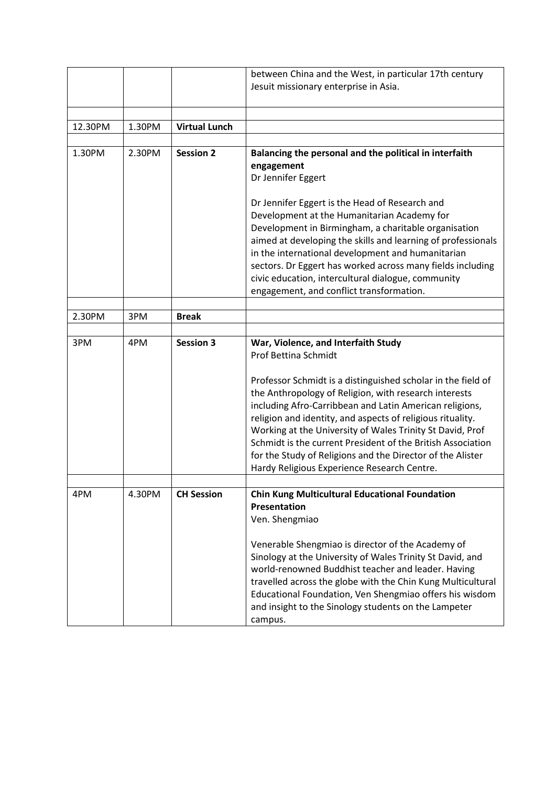|         |        |                      | between China and the West, in particular 17th century       |
|---------|--------|----------------------|--------------------------------------------------------------|
|         |        |                      | Jesuit missionary enterprise in Asia.                        |
|         |        |                      |                                                              |
|         |        |                      |                                                              |
| 12.30PM | 1.30PM | <b>Virtual Lunch</b> |                                                              |
|         |        |                      |                                                              |
| 1.30PM  | 2.30PM | <b>Session 2</b>     | Balancing the personal and the political in interfaith       |
|         |        |                      | engagement                                                   |
|         |        |                      | Dr Jennifer Eggert                                           |
|         |        |                      |                                                              |
|         |        |                      | Dr Jennifer Eggert is the Head of Research and               |
|         |        |                      |                                                              |
|         |        |                      | Development at the Humanitarian Academy for                  |
|         |        |                      | Development in Birmingham, a charitable organisation         |
|         |        |                      | aimed at developing the skills and learning of professionals |
|         |        |                      | in the international development and humanitarian            |
|         |        |                      | sectors. Dr Eggert has worked across many fields including   |
|         |        |                      | civic education, intercultural dialogue, community           |
|         |        |                      | engagement, and conflict transformation.                     |
|         |        |                      |                                                              |
| 2.30PM  | 3PM    | <b>Break</b>         |                                                              |
|         |        |                      |                                                              |
| 3PM     | 4PM    | <b>Session 3</b>     | War, Violence, and Interfaith Study                          |
|         |        |                      | <b>Prof Bettina Schmidt</b>                                  |
|         |        |                      |                                                              |
|         |        |                      | Professor Schmidt is a distinguished scholar in the field of |
|         |        |                      | the Anthropology of Religion, with research interests        |
|         |        |                      | including Afro-Carribbean and Latin American religions,      |
|         |        |                      | religion and identity, and aspects of religious rituality.   |
|         |        |                      | Working at the University of Wales Trinity St David, Prof    |
|         |        |                      | Schmidt is the current President of the British Association  |
|         |        |                      |                                                              |
|         |        |                      | for the Study of Religions and the Director of the Alister   |
|         |        |                      | Hardy Religious Experience Research Centre.                  |
|         |        |                      |                                                              |
| 4PM     | 4.30PM | <b>CH Session</b>    | Chin Kung Multicultural Educational Foundation               |
|         |        |                      | Presentation                                                 |
|         |        |                      | Ven. Shengmiao                                               |
|         |        |                      |                                                              |
|         |        |                      | Venerable Shengmiao is director of the Academy of            |
|         |        |                      | Sinology at the University of Wales Trinity St David, and    |
|         |        |                      | world-renowned Buddhist teacher and leader. Having           |
|         |        |                      | travelled across the globe with the Chin Kung Multicultural  |
|         |        |                      | Educational Foundation, Ven Shengmiao offers his wisdom      |
|         |        |                      | and insight to the Sinology students on the Lampeter         |
|         |        |                      | campus.                                                      |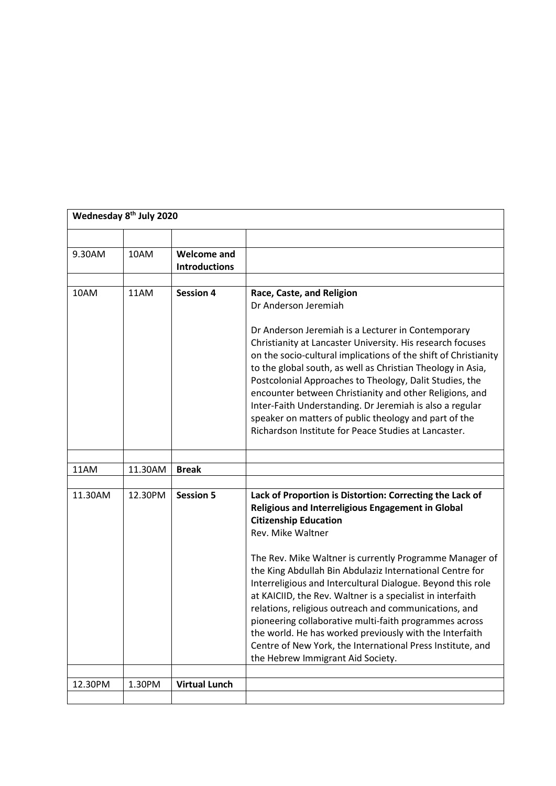| Wednesday 8 <sup>th</sup> July 2020 |         |                                            |                                                                                                                                                                                                                                                                                                                                                                                                                                                                                                                                                       |  |
|-------------------------------------|---------|--------------------------------------------|-------------------------------------------------------------------------------------------------------------------------------------------------------------------------------------------------------------------------------------------------------------------------------------------------------------------------------------------------------------------------------------------------------------------------------------------------------------------------------------------------------------------------------------------------------|--|
|                                     |         |                                            |                                                                                                                                                                                                                                                                                                                                                                                                                                                                                                                                                       |  |
| 9.30AM                              | 10AM    | <b>Welcome and</b><br><b>Introductions</b> |                                                                                                                                                                                                                                                                                                                                                                                                                                                                                                                                                       |  |
|                                     |         |                                            |                                                                                                                                                                                                                                                                                                                                                                                                                                                                                                                                                       |  |
| 10AM                                | 11AM    | <b>Session 4</b>                           | Race, Caste, and Religion<br>Dr Anderson Jeremiah                                                                                                                                                                                                                                                                                                                                                                                                                                                                                                     |  |
|                                     |         |                                            | Dr Anderson Jeremiah is a Lecturer in Contemporary<br>Christianity at Lancaster University. His research focuses<br>on the socio-cultural implications of the shift of Christianity<br>to the global south, as well as Christian Theology in Asia,<br>Postcolonial Approaches to Theology, Dalit Studies, the<br>encounter between Christianity and other Religions, and<br>Inter-Faith Understanding. Dr Jeremiah is also a regular<br>speaker on matters of public theology and part of the<br>Richardson Institute for Peace Studies at Lancaster. |  |
|                                     |         |                                            |                                                                                                                                                                                                                                                                                                                                                                                                                                                                                                                                                       |  |
| 11AM                                | 11.30AM | <b>Break</b>                               |                                                                                                                                                                                                                                                                                                                                                                                                                                                                                                                                                       |  |
| 11.30AM                             | 12.30PM | <b>Session 5</b>                           | Lack of Proportion is Distortion: Correcting the Lack of<br>Religious and Interreligious Engagement in Global<br><b>Citizenship Education</b><br>Rev. Mike Waltner                                                                                                                                                                                                                                                                                                                                                                                    |  |
|                                     |         |                                            | The Rev. Mike Waltner is currently Programme Manager of<br>the King Abdullah Bin Abdulaziz International Centre for<br>Interreligious and Intercultural Dialogue. Beyond this role<br>at KAICIID, the Rev. Waltner is a specialist in interfaith<br>relations, religious outreach and communications, and<br>pioneering collaborative multi-faith programmes across<br>the world. He has worked previously with the Interfaith<br>Centre of New York, the International Press Institute, and<br>the Hebrew Immigrant Aid Society.                     |  |
| 12.30PM                             | 1.30PM  | <b>Virtual Lunch</b>                       |                                                                                                                                                                                                                                                                                                                                                                                                                                                                                                                                                       |  |
|                                     |         |                                            |                                                                                                                                                                                                                                                                                                                                                                                                                                                                                                                                                       |  |